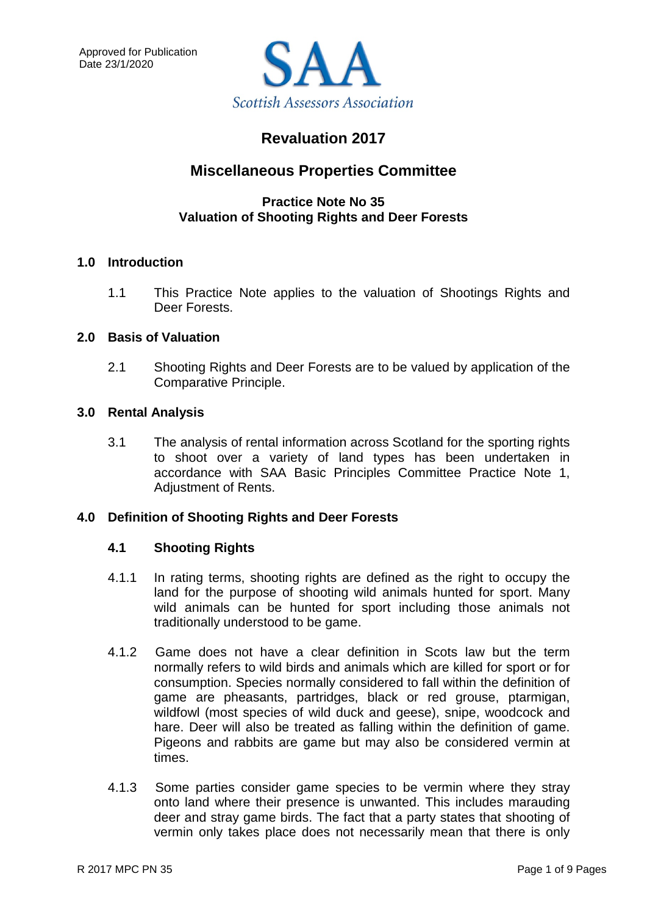

# **Revaluation 2017**

# **Miscellaneous Properties Committee**

### **Practice Note No 35 Valuation of Shooting Rights and Deer Forests**

### **1.0 Introduction**

1.1 This Practice Note applies to the valuation of Shootings Rights and Deer Forests.

### **2.0 Basis of Valuation**

2.1 Shooting Rights and Deer Forests are to be valued by application of the Comparative Principle.

### **3.0 Rental Analysis**

3.1 The analysis of rental information across Scotland for the sporting rights to shoot over a variety of land types has been undertaken in accordance with SAA Basic Principles Committee Practice Note 1, Adjustment of Rents.

### **4.0 Definition of Shooting Rights and Deer Forests**

### **4.1 Shooting Rights**

- 4.1.1 In rating terms, shooting rights are defined as the right to occupy the land for the purpose of shooting wild animals hunted for sport. Many wild animals can be hunted for sport including those animals not traditionally understood to be game.
- 4.1.2 Game does not have a clear definition in Scots law but the term normally refers to wild birds and animals which are killed for sport or for consumption. Species normally considered to fall within the definition of game are pheasants, partridges, black or red grouse, ptarmigan, wildfowl (most species of wild duck and geese), snipe, woodcock and hare. Deer will also be treated as falling within the definition of game. Pigeons and rabbits are game but may also be considered vermin at times.
- 4.1.3 Some parties consider game species to be vermin where they stray onto land where their presence is unwanted. This includes marauding deer and stray game birds. The fact that a party states that shooting of vermin only takes place does not necessarily mean that there is only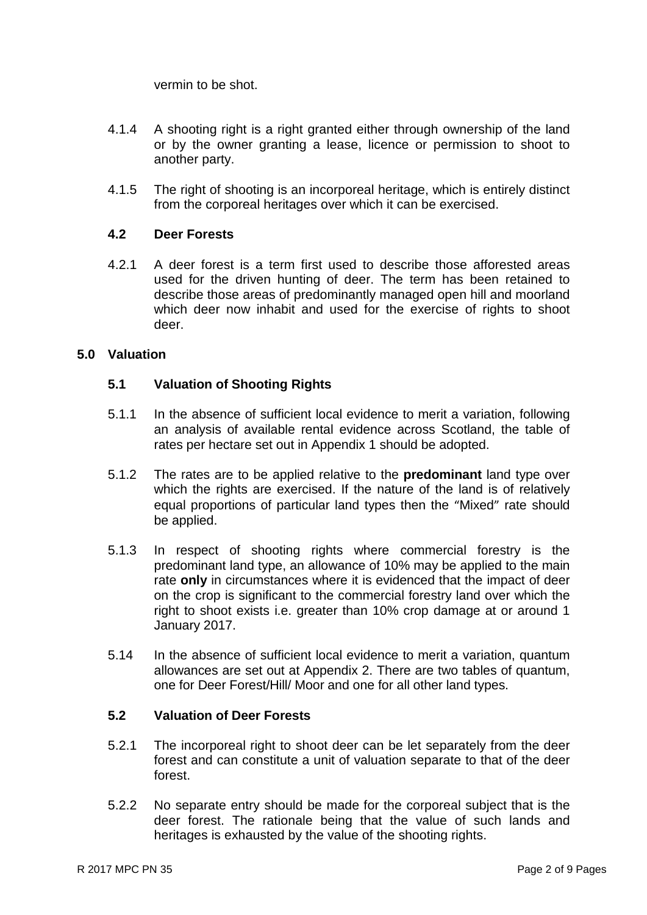vermin to be shot.

- 4.1.4 A shooting right is a right granted either through ownership of the land or by the owner granting a lease, licence or permission to shoot to another party.
- 4.1.5 The right of shooting is an incorporeal heritage, which is entirely distinct from the corporeal heritages over which it can be exercised.

### **4.2 Deer Forests**

4.2.1 A deer forest is a term first used to describe those afforested areas used for the driven hunting of deer. The term has been retained to describe those areas of predominantly managed open hill and moorland which deer now inhabit and used for the exercise of rights to shoot deer.

### **5.0 Valuation**

### **5.1 Valuation of Shooting Rights**

- 5.1.1 In the absence of sufficient local evidence to merit a variation, following an analysis of available rental evidence across Scotland, the table of rates per hectare set out in Appendix 1 should be adopted.
- 5.1.2 The rates are to be applied relative to the **predominant** land type over which the rights are exercised. If the nature of the land is of relatively equal proportions of particular land types then the "Mixed" rate should be applied.
- 5.1.3 In respect of shooting rights where commercial forestry is the predominant land type, an allowance of 10% may be applied to the main rate **only** in circumstances where it is evidenced that the impact of deer on the crop is significant to the commercial forestry land over which the right to shoot exists i.e. greater than 10% crop damage at or around 1 January 2017.
- 5.14 In the absence of sufficient local evidence to merit a variation, quantum allowances are set out at Appendix 2. There are two tables of quantum, one for Deer Forest/Hill/ Moor and one for all other land types.

#### **5.2 Valuation of Deer Forests**

- 5.2.1 The incorporeal right to shoot deer can be let separately from the deer forest and can constitute a unit of valuation separate to that of the deer forest.
- 5.2.2 No separate entry should be made for the corporeal subject that is the deer forest. The rationale being that the value of such lands and heritages is exhausted by the value of the shooting rights.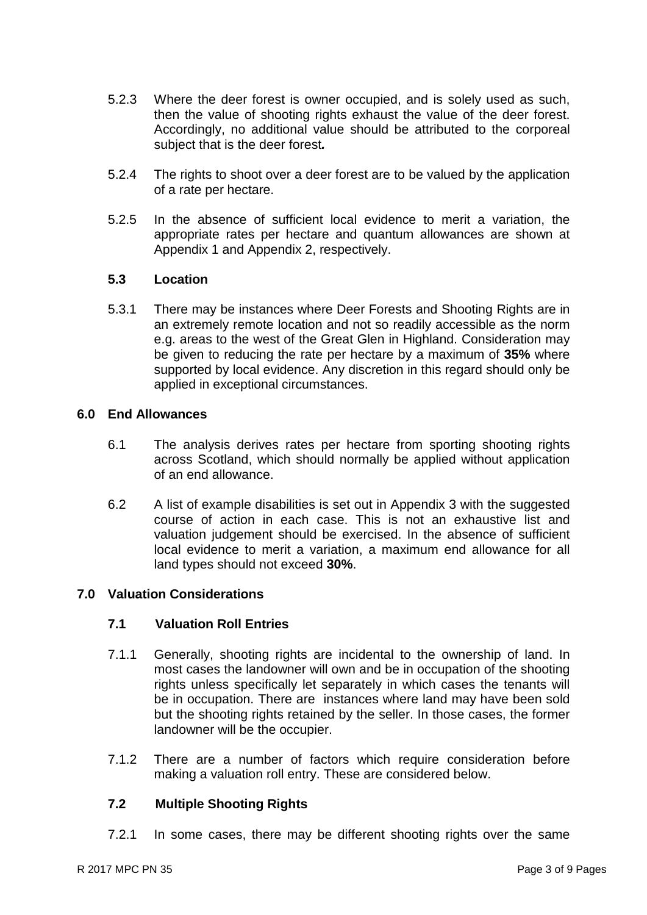- 5.2.3 Where the deer forest is owner occupied, and is solely used as such, then the value of shooting rights exhaust the value of the deer forest. Accordingly, no additional value should be attributed to the corporeal subject that is the deer forest*.*
- 5.2.4 The rights to shoot over a deer forest are to be valued by the application of a rate per hectare.
- 5.2.5 In the absence of sufficient local evidence to merit a variation, the appropriate rates per hectare and quantum allowances are shown at Appendix 1 and Appendix 2, respectively.

### **5.3 Location**

5.3.1 There may be instances where Deer Forests and Shooting Rights are in an extremely remote location and not so readily accessible as the norm e.g. areas to the west of the Great Glen in Highland. Consideration may be given to reducing the rate per hectare by a maximum of **35%** where supported by local evidence. Any discretion in this regard should only be applied in exceptional circumstances.

### **6.0 End Allowances**

- 6.1 The analysis derives rates per hectare from sporting shooting rights across Scotland, which should normally be applied without application of an end allowance.
- 6.2 A list of example disabilities is set out in Appendix 3 with the suggested course of action in each case. This is not an exhaustive list and valuation judgement should be exercised. In the absence of sufficient local evidence to merit a variation, a maximum end allowance for all land types should not exceed **30%**.

### **7.0 Valuation Considerations**

### **7.1 Valuation Roll Entries**

- 7.1.1 Generally, shooting rights are incidental to the ownership of land. In most cases the landowner will own and be in occupation of the shooting rights unless specifically let separately in which cases the tenants will be in occupation. There are instances where land may have been sold but the shooting rights retained by the seller. In those cases, the former landowner will be the occupier.
- 7.1.2 There are a number of factors which require consideration before making a valuation roll entry. These are considered below.

### **7.2 Multiple Shooting Rights**

7.2.1 In some cases, there may be different shooting rights over the same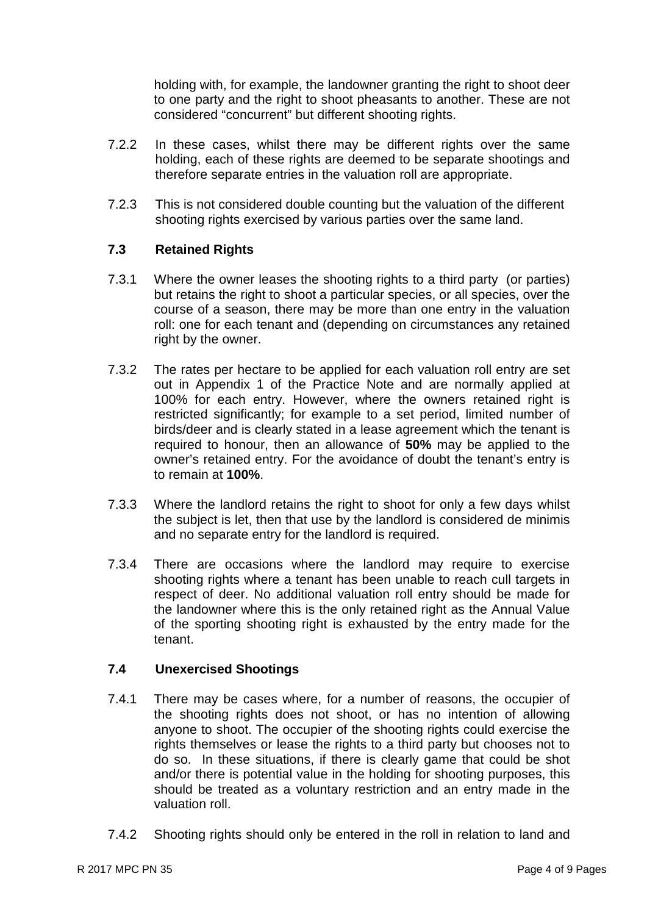holding with, for example, the landowner granting the right to shoot deer to one party and the right to shoot pheasants to another. These are not considered "concurrent" but different shooting rights.

- 7.2.2 In these cases, whilst there may be different rights over the same holding, each of these rights are deemed to be separate shootings and therefore separate entries in the valuation roll are appropriate.
- 7.2.3 This is not considered double counting but the valuation of the different shooting rights exercised by various parties over the same land.

### **7.3 Retained Rights**

- 7.3.1 Where the owner leases the shooting rights to a third party (or parties) but retains the right to shoot a particular species, or all species, over the course of a season, there may be more than one entry in the valuation roll: one for each tenant and (depending on circumstances any retained right by the owner.
- 7.3.2 The rates per hectare to be applied for each valuation roll entry are set out in Appendix 1 of the Practice Note and are normally applied at 100% for each entry. However, where the owners retained right is restricted significantly; for example to a set period, limited number of birds/deer and is clearly stated in a lease agreement which the tenant is required to honour, then an allowance of **50%** may be applied to the owner's retained entry. For the avoidance of doubt the tenant's entry is to remain at **100%**.
- 7.3.3 Where the landlord retains the right to shoot for only a few days whilst the subject is let, then that use by the landlord is considered de minimis and no separate entry for the landlord is required.
- 7.3.4 There are occasions where the landlord may require to exercise shooting rights where a tenant has been unable to reach cull targets in respect of deer. No additional valuation roll entry should be made for the landowner where this is the only retained right as the Annual Value of the sporting shooting right is exhausted by the entry made for the tenant.

### **7.4 Unexercised Shootings**

- 7.4.1 There may be cases where, for a number of reasons, the occupier of the shooting rights does not shoot, or has no intention of allowing anyone to shoot. The occupier of the shooting rights could exercise the rights themselves or lease the rights to a third party but chooses not to do so. In these situations, if there is clearly game that could be shot and/or there is potential value in the holding for shooting purposes, this should be treated as a voluntary restriction and an entry made in the valuation roll.
- 7.4.2 Shooting rights should only be entered in the roll in relation to land and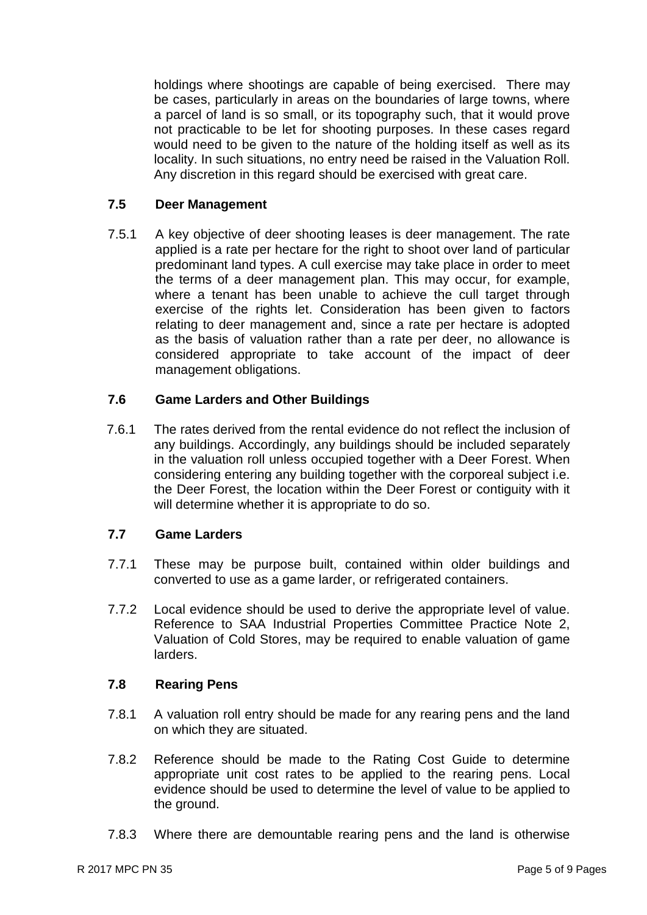holdings where shootings are capable of being exercised. There may be cases, particularly in areas on the boundaries of large towns, where a parcel of land is so small, or its topography such, that it would prove not practicable to be let for shooting purposes. In these cases regard would need to be given to the nature of the holding itself as well as its locality. In such situations, no entry need be raised in the Valuation Roll. Any discretion in this regard should be exercised with great care.

### **7.5 Deer Management**

7.5.1 A key objective of deer shooting leases is deer management. The rate applied is a rate per hectare for the right to shoot over land of particular predominant land types. A cull exercise may take place in order to meet the terms of a deer management plan. This may occur, for example, where a tenant has been unable to achieve the cull target through exercise of the rights let. Consideration has been given to factors relating to deer management and, since a rate per hectare is adopted as the basis of valuation rather than a rate per deer, no allowance is considered appropriate to take account of the impact of deer management obligations.

### **7.6 Game Larders and Other Buildings**

7.6.1 The rates derived from the rental evidence do not reflect the inclusion of any buildings. Accordingly, any buildings should be included separately in the valuation roll unless occupied together with a Deer Forest. When considering entering any building together with the corporeal subject i.e. the Deer Forest, the location within the Deer Forest or contiguity with it will determine whether it is appropriate to do so.

### **7.7 Game Larders**

- 7.7.1 These may be purpose built, contained within older buildings and converted to use as a game larder, or refrigerated containers.
- 7.7.2 Local evidence should be used to derive the appropriate level of value. Reference to SAA Industrial Properties Committee Practice Note 2, Valuation of Cold Stores, may be required to enable valuation of game larders.

### **7.8 Rearing Pens**

- 7.8.1 A valuation roll entry should be made for any rearing pens and the land on which they are situated.
- 7.8.2 Reference should be made to the Rating Cost Guide to determine appropriate unit cost rates to be applied to the rearing pens. Local evidence should be used to determine the level of value to be applied to the ground.
- 7.8.3 Where there are demountable rearing pens and the land is otherwise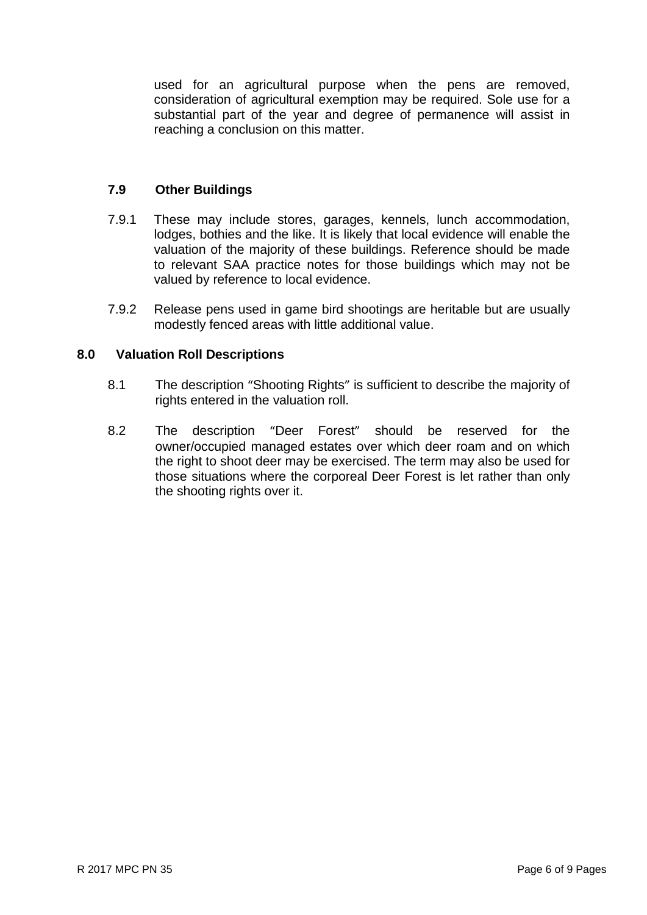used for an agricultural purpose when the pens are removed, consideration of agricultural exemption may be required. Sole use for a substantial part of the year and degree of permanence will assist in reaching a conclusion on this matter.

### **7.9 Other Buildings**

- 7.9.1 These may include stores, garages, kennels, lunch accommodation, lodges, bothies and the like. It is likely that local evidence will enable the valuation of the majority of these buildings. Reference should be made to relevant SAA practice notes for those buildings which may not be valued by reference to local evidence.
- 7.9.2 Release pens used in game bird shootings are heritable but are usually modestly fenced areas with little additional value.

### **8.0 Valuation Roll Descriptions**

- 8.1 The description "Shooting Rights" is sufficient to describe the majority of rights entered in the valuation roll.
- 8.2 The description "Deer Forest" should be reserved for the owner/occupied managed estates over which deer roam and on which the right to shoot deer may be exercised. The term may also be used for those situations where the corporeal Deer Forest is let rather than only the shooting rights over it.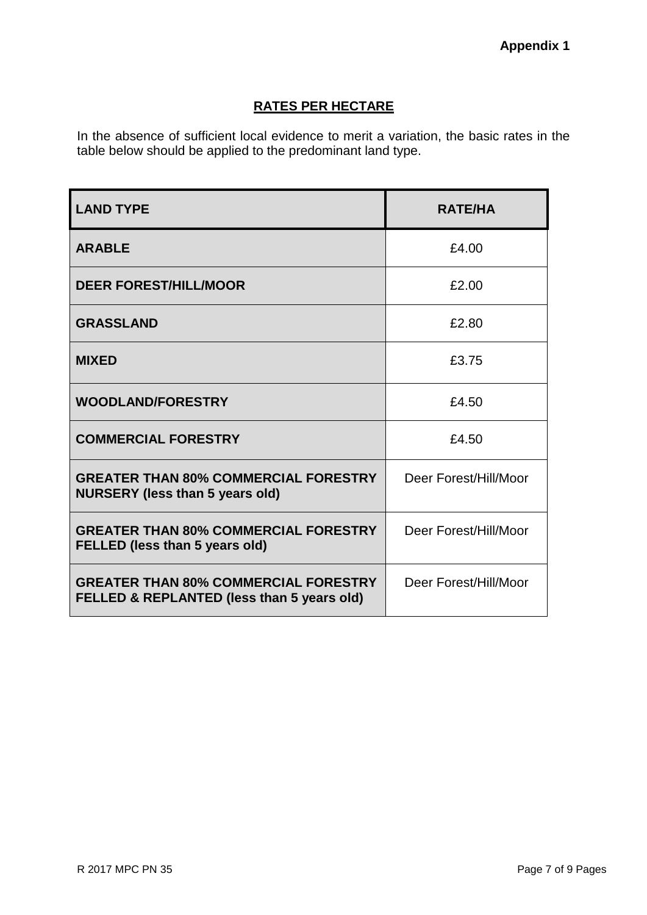# <sup>U</sup>**RATES PER HECTARE**

In the absence of sufficient local evidence to merit a variation, the basic rates in the table below should be applied to the predominant land type.

| <b>LAND TYPE</b>                                                                          | <b>RATE/HA</b>        |
|-------------------------------------------------------------------------------------------|-----------------------|
| <b>ARABLE</b>                                                                             | £4.00                 |
| <b>DEER FOREST/HILL/MOOR</b>                                                              | £2.00                 |
| <b>GRASSLAND</b>                                                                          | £2.80                 |
| <b>MIXED</b>                                                                              | £3.75                 |
| <b>WOODLAND/FORESTRY</b>                                                                  | £4.50                 |
| <b>COMMERCIAL FORESTRY</b>                                                                | £4.50                 |
| <b>GREATER THAN 80% COMMERCIAL FORESTRY</b><br><b>NURSERY (less than 5 years old)</b>     | Deer Forest/Hill/Moor |
| <b>GREATER THAN 80% COMMERCIAL FORESTRY</b><br><b>FELLED (less than 5 years old)</b>      | Deer Forest/Hill/Moor |
| <b>GREATER THAN 80% COMMERCIAL FORESTRY</b><br>FELLED & REPLANTED (less than 5 years old) | Deer Forest/Hill/Moor |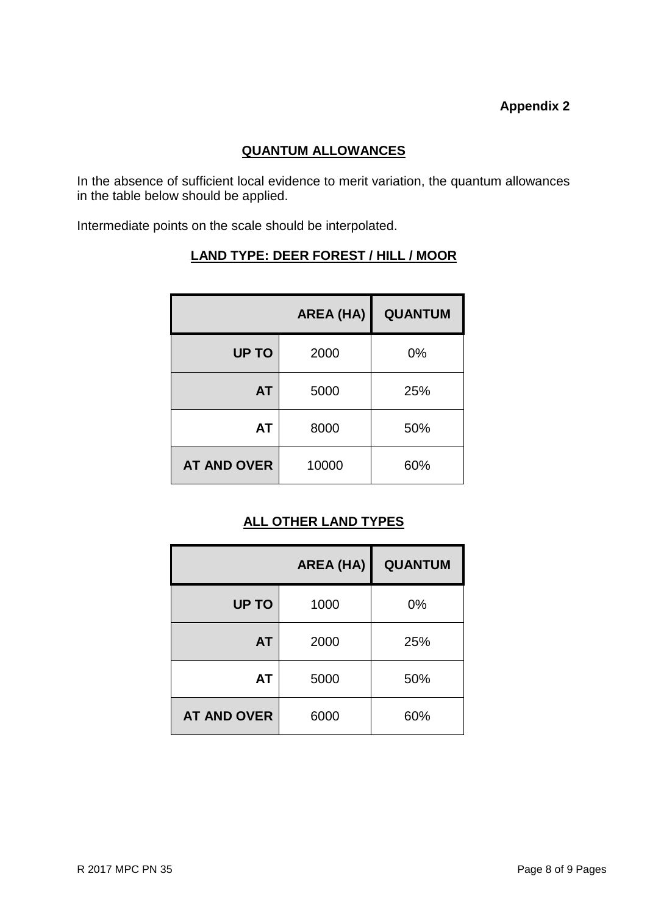# **Appendix 2**

### <sup>U</sup>**QUANTUM ALLOWANCES**

In the absence of sufficient local evidence to merit variation, the quantum allowances in the table below should be applied.

Intermediate points on the scale should be interpolated.

|                    | <b>AREA (HA)</b> | <b>QUANTUM</b> |
|--------------------|------------------|----------------|
| <b>UP TO</b>       | 2000             | 0%             |
| <b>AT</b>          | 5000             | 25%            |
| AT                 | 8000             | 50%            |
| <b>AT AND OVER</b> | 10000            | 60%            |

### <sup>U</sup>**LAND TYPE: DEER FOREST / HILL / MOOR**

## **ALL OTHER LAND TYPES**

|                    | <b>AREA (HA)</b> | <b>QUANTUM</b> |
|--------------------|------------------|----------------|
| <b>UP TO</b>       | 1000             | 0%             |
| <b>AT</b>          | 2000             | 25%            |
| <b>AT</b>          | 5000             | 50%            |
| <b>AT AND OVER</b> | 6000             | 60%            |